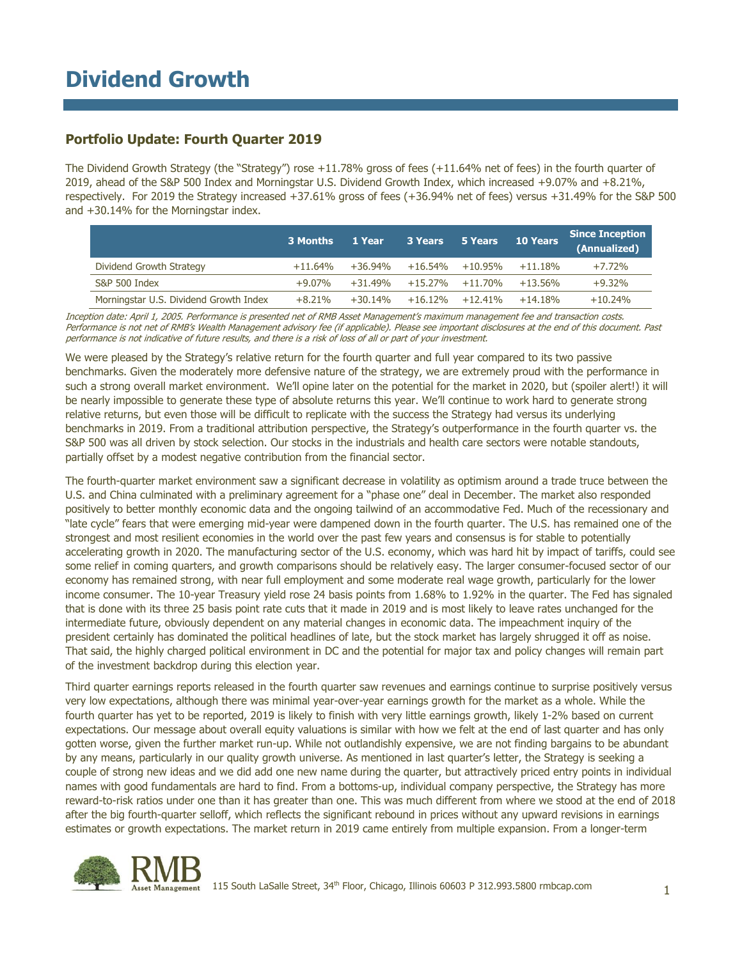### **Portfolio Update: Fourth Quarter 2019**

The Dividend Growth Strategy (the "Strategy") rose +11.78% gross of fees (+11.64% net of fees) in the fourth quarter of 2019, ahead of the S&P 500 Index and Morningstar U.S. Dividend Growth Index, which increased +9.07% and +8.21%, respectively. For 2019 the Strategy increased +37.61% gross of fees (+36.94% net of fees) versus +31.49% for the S&P 500 and +30.14% for the Morningstar index.

|                                        | 3 Months   | 1 Year     | 3 Years    | 5 Years             | <b>10 Years</b> | <b>Since Inception</b><br>(Annualized) |
|----------------------------------------|------------|------------|------------|---------------------|-----------------|----------------------------------------|
| Dividend Growth Strategy               | $+11.64\%$ | $+36.94\%$ | $+16.54\%$ | $+10.95\%$          | $+11.18%$       | $+7.72%$                               |
| S&P 500 Index                          | $+9.07%$   | $+31.49%$  |            | $+15.27\% +11.70\%$ | $+13.56\%$      | $+9.32%$                               |
| Morningstar U.S. Dividend Growth Index | $+8.21%$   | $+30.14%$  | $+16.12%$  | $+12.41%$           | $+14.18%$       | $+10.24%$                              |

Inception date: April 1, 2005. Performance is presented net of RMB Asset Management's maximum management fee and transaction costs. Performance is not net of RMB's Wealth Management advisory fee (if applicable). Please see important disclosures at the end of this document. Past performance is not indicative of future results, and there is a risk of loss of all or part of your investment.

We were pleased by the Strategy's relative return for the fourth quarter and full year compared to its two passive benchmarks. Given the moderately more defensive nature of the strategy, we are extremely proud with the performance in such a strong overall market environment. We'll opine later on the potential for the market in 2020, but (spoiler alert!) it will be nearly impossible to generate these type of absolute returns this year. We'll continue to work hard to generate strong relative returns, but even those will be difficult to replicate with the success the Strategy had versus its underlying benchmarks in 2019. From a traditional attribution perspective, the Strategy's outperformance in the fourth quarter vs. the S&P 500 was all driven by stock selection. Our stocks in the industrials and health care sectors were notable standouts, partially offset by a modest negative contribution from the financial sector.

The fourth-quarter market environment saw a significant decrease in volatility as optimism around a trade truce between the U.S. and China culminated with a preliminary agreement for a "phase one" deal in December. The market also responded positively to better monthly economic data and the ongoing tailwind of an accommodative Fed. Much of the recessionary and "late cycle" fears that were emerging mid-year were dampened down in the fourth quarter. The U.S. has remained one of the strongest and most resilient economies in the world over the past few years and consensus is for stable to potentially accelerating growth in 2020. The manufacturing sector of the U.S. economy, which was hard hit by impact of tariffs, could see some relief in coming quarters, and growth comparisons should be relatively easy. The larger consumer-focused sector of our economy has remained strong, with near full employment and some moderate real wage growth, particularly for the lower income consumer. The 10-year Treasury yield rose 24 basis points from 1.68% to 1.92% in the quarter. The Fed has signaled that is done with its three 25 basis point rate cuts that it made in 2019 and is most likely to leave rates unchanged for the intermediate future, obviously dependent on any material changes in economic data. The impeachment inquiry of the president certainly has dominated the political headlines of late, but the stock market has largely shrugged it off as noise. That said, the highly charged political environment in DC and the potential for major tax and policy changes will remain part of the investment backdrop during this election year.

Third quarter earnings reports released in the fourth quarter saw revenues and earnings continue to surprise positively versus very low expectations, although there was minimal year-over-year earnings growth for the market as a whole. While the fourth quarter has yet to be reported, 2019 is likely to finish with very little earnings growth, likely 1-2% based on current expectations. Our message about overall equity valuations is similar with how we felt at the end of last quarter and has only gotten worse, given the further market run-up. While not outlandishly expensive, we are not finding bargains to be abundant by any means, particularly in our quality growth universe. As mentioned in last quarter's letter, the Strategy is seeking a couple of strong new ideas and we did add one new name during the quarter, but attractively priced entry points in individual names with good fundamentals are hard to find. From a bottoms-up, individual company perspective, the Strategy has more reward-to-risk ratios under one than it has greater than one. This was much different from where we stood at the end of 2018 after the big fourth-quarter selloff, which reflects the significant rebound in prices without any upward revisions in earnings estimates or growth expectations. The market return in 2019 came entirely from multiple expansion. From a longer-term

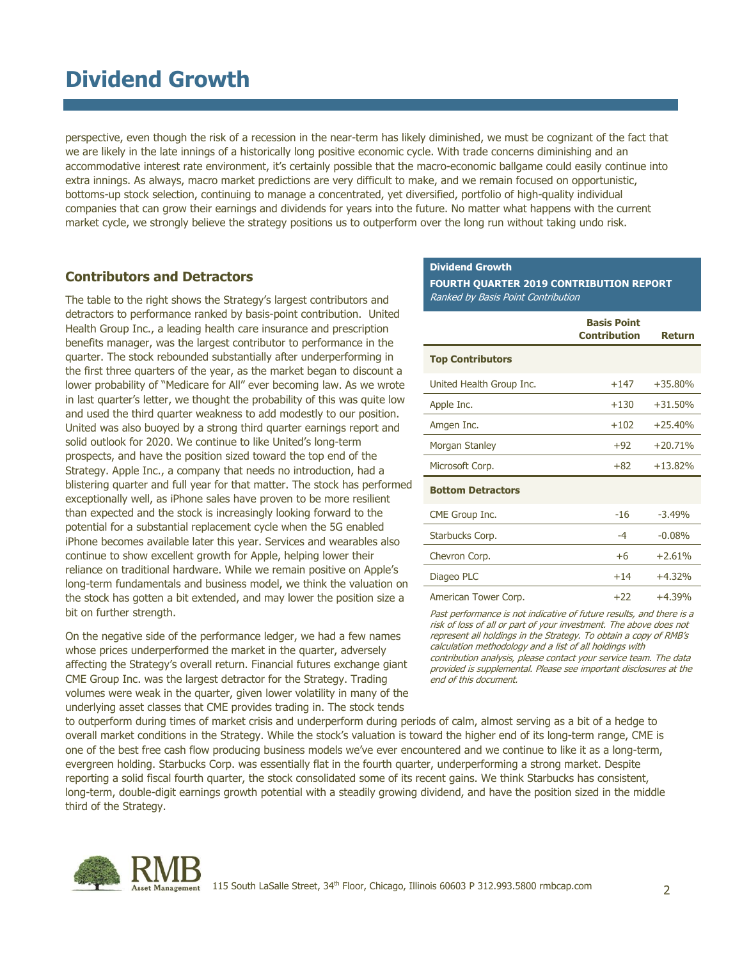# **Dividend Growth**

perspective, even though the risk of a recession in the near-term has likely diminished, we must be cognizant of the fact that we are likely in the late innings of a historically long positive economic cycle. With trade concerns diminishing and an accommodative interest rate environment, it's certainly possible that the macro-economic ballgame could easily continue into extra innings. As always, macro market predictions are very difficult to make, and we remain focused on opportunistic, bottoms-up stock selection, continuing to manage a concentrated, yet diversified, portfolio of high-quality individual companies that can grow their earnings and dividends for years into the future. No matter what happens with the current market cycle, we strongly believe the strategy positions us to outperform over the long run without taking undo risk.

#### **Contributors and Detractors**

The table to the right shows the Strategy's largest contributors and detractors to performance ranked by basis-point contribution. United Health Group Inc., a leading health care insurance and prescription benefits manager, was the largest contributor to performance in the quarter. The stock rebounded substantially after underperforming in the first three quarters of the year, as the market began to discount a lower probability of "Medicare for All" ever becoming law. As we wrote in last quarter's letter, we thought the probability of this was quite low and used the third quarter weakness to add modestly to our position. United was also buoyed by a strong third quarter earnings report and solid outlook for 2020. We continue to like United's long-term prospects, and have the position sized toward the top end of the Strategy. Apple Inc., a company that needs no introduction, had a blistering quarter and full year for that matter. The stock has performed exceptionally well, as iPhone sales have proven to be more resilient than expected and the stock is increasingly looking forward to the potential for a substantial replacement cycle when the 5G enabled iPhone becomes available later this year. Services and wearables also continue to show excellent growth for Apple, helping lower their reliance on traditional hardware. While we remain positive on Apple's long-term fundamentals and business model, we think the valuation on the stock has gotten a bit extended, and may lower the position size a bit on further strength.

On the negative side of the performance ledger, we had a few names whose prices underperformed the market in the quarter, adversely affecting the Strategy's overall return. Financial futures exchange giant CME Group Inc. was the largest detractor for the Strategy. Trading volumes were weak in the quarter, given lower volatility in many of the underlying asset classes that CME provides trading in. The stock tends

#### **Dividend Growth**

**FOURTH QUARTER 2019 CONTRIBUTION REPORT** Ranked by Basis Point Contribution

|                          | <b>Basis Point</b><br><b>Contribution</b> | Return    |
|--------------------------|-------------------------------------------|-----------|
| <b>Top Contributors</b>  |                                           |           |
| United Health Group Inc. | $+147$                                    | $+35.80%$ |
| Apple Inc.               | $+130$                                    | $+31.50%$ |
| Amgen Inc.               | $+102$                                    | $+25.40%$ |
| Morgan Stanley           | $+92$                                     | $+20.71%$ |
| Microsoft Corp.          | $+82$                                     | $+13.82%$ |
| <b>Bottom Detractors</b> |                                           |           |
| CME Group Inc.           | $-16$                                     | $-3.49%$  |
| Starbucks Corp.          | $-4$                                      | $-0.08%$  |
| Chevron Corp.            | $+6$                                      | $+2.61%$  |
| Diageo PLC               | $+14$                                     | $+4.32%$  |
| American Tower Corp.     | $+22$                                     | $+4.39%$  |

Past performance is not indicative of future results, and there is a risk of loss of all or part of your investment. The above does not represent all holdings in the Strategy. To obtain a copy of RMB's calculation methodology and a list of all holdings with contribution analysis, please contact your service team. The data provided is supplemental. Please see important disclosures at the end of this document.

to outperform during times of market crisis and underperform during periods of calm, almost serving as a bit of a hedge to overall market conditions in the Strategy. While the stock's valuation is toward the higher end of its long-term range, CME is one of the best free cash flow producing business models we've ever encountered and we continue to like it as a long-term, evergreen holding. Starbucks Corp. was essentially flat in the fourth quarter, underperforming a strong market. Despite reporting a solid fiscal fourth quarter, the stock consolidated some of its recent gains. We think Starbucks has consistent, long-term, double-digit earnings growth potential with a steadily growing dividend, and have the position sized in the middle third of the Strategy.

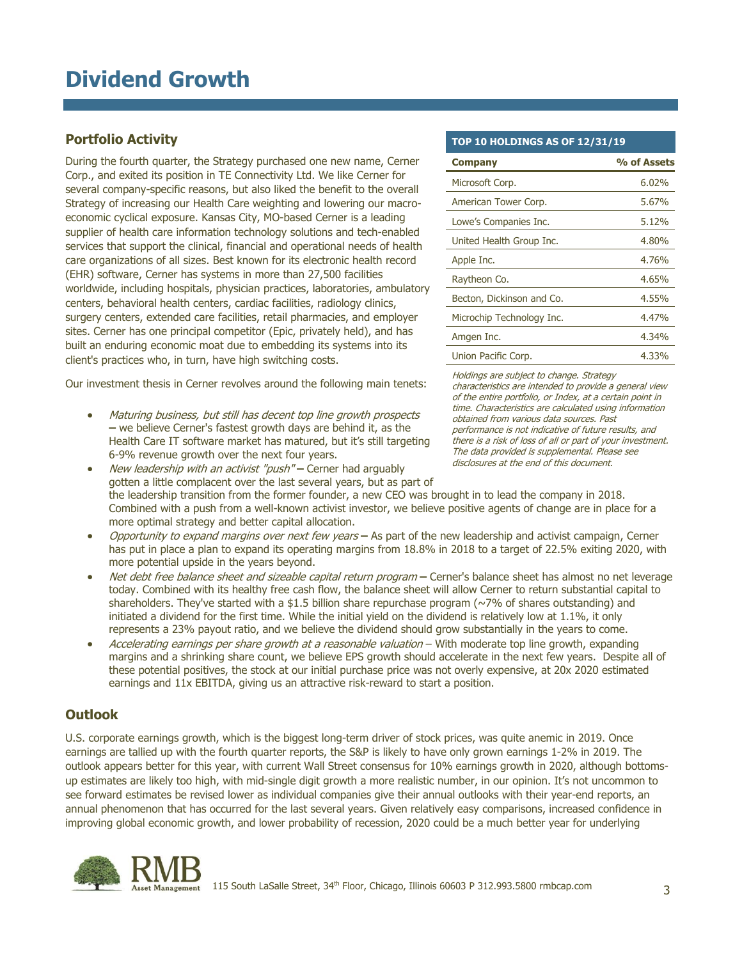### **Portfolio Activity**

During the fourth quarter, the Strategy purchased one new name, Cerner Corp., and exited its position in TE Connectivity Ltd. We like Cerner for several company-specific reasons, but also liked the benefit to the overall Strategy of increasing our Health Care weighting and lowering our macroeconomic cyclical exposure. Kansas City, MO-based Cerner is a leading supplier of health care information technology solutions and tech-enabled services that support the clinical, financial and operational needs of health care organizations of all sizes. Best known for its electronic health record (EHR) software, Cerner has systems in more than 27,500 facilities worldwide, including hospitals, physician practices, laboratories, ambulatory centers, behavioral health centers, cardiac facilities, radiology clinics, surgery centers, extended care facilities, retail pharmacies, and employer sites. Cerner has one principal competitor (Epic, privately held), and has built an enduring economic moat due to embedding its systems into its client's practices who, in turn, have high switching costs.

Our investment thesis in Cerner revolves around the following main tenets:

 Maturing business, but still has decent top line growth prospects **–** we believe Cerner's fastest growth days are behind it, as the Health Care IT software market has matured, but it's still targeting 6-9% revenue growth over the next four years.

**TOP 10 HOLDINGS AS OF 12/31/19**

| <b>Company</b>            | % of Assets |
|---------------------------|-------------|
| Microsoft Corp.           | 6.02%       |
| American Tower Corp.      | 5.67%       |
| Lowe's Companies Inc.     | 5.12%       |
| United Health Group Inc.  | 4.80%       |
| Apple Inc.                | 4.76%       |
| Raytheon Co.              | 4.65%       |
| Becton, Dickinson and Co. | 4.55%       |
| Microchip Technology Inc. | 4.47%       |
| Amgen Inc.                | 4.34%       |
| Union Pacific Corp.       | 4.33%       |

Holdings are subject to change. Strategy characteristics are intended to provide a general view of the entire portfolio, or Index, at a certain point in time. Characteristics are calculated using information obtained from various data sources. Past performance is not indicative of future results, and there is a risk of loss of all or part of your investment. The data provided is supplemental. Please see disclosures at the end of this document.

- New leadership with an activist "push" **–** Cerner had arguably gotten a little complacent over the last several years, but as part of the leadership transition from the former founder, a new CEO was brought in to lead the company in 2018. Combined with a push from a well-known activist investor, we believe positive agents of change are in place for a more optimal strategy and better capital allocation.
- Opportunity to expand margins over next few years **–** As part of the new leadership and activist campaign, Cerner has put in place a plan to expand its operating margins from 18.8% in 2018 to a target of 22.5% exiting 2020, with more potential upside in the years beyond.
- Net debt free balance sheet and sizeable capital return program **–** Cerner's balance sheet has almost no net leverage today. Combined with its healthy free cash flow, the balance sheet will allow Cerner to return substantial capital to shareholders. They've started with a \$1.5 billion share repurchase program  $(\sim 7\%$  of shares outstanding) and initiated a dividend for the first time. While the initial yield on the dividend is relatively low at 1.1%, it only represents a 23% payout ratio, and we believe the dividend should grow substantially in the years to come.
- Accelerating earnings per share growth at a reasonable valuation With moderate top line growth, expanding margins and a shrinking share count, we believe EPS growth should accelerate in the next few years. Despite all of these potential positives, the stock at our initial purchase price was not overly expensive, at 20x 2020 estimated earnings and 11x EBITDA, giving us an attractive risk-reward to start a position.

### **Outlook**

U.S. corporate earnings growth, which is the biggest long-term driver of stock prices, was quite anemic in 2019. Once earnings are tallied up with the fourth quarter reports, the S&P is likely to have only grown earnings 1-2% in 2019. The outlook appears better for this year, with current Wall Street consensus for 10% earnings growth in 2020, although bottomsup estimates are likely too high, with mid-single digit growth a more realistic number, in our opinion. It's not uncommon to see forward estimates be revised lower as individual companies give their annual outlooks with their year-end reports, an annual phenomenon that has occurred for the last several years. Given relatively easy comparisons, increased confidence in improving global economic growth, and lower probability of recession, 2020 could be a much better year for underlying

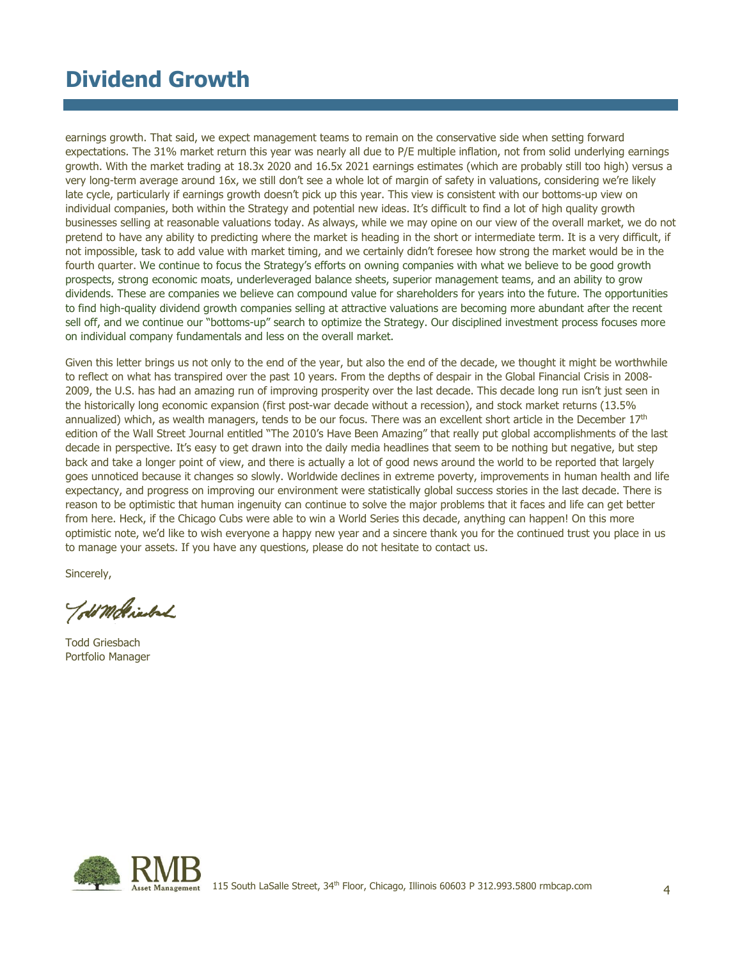# **Dividend Growth**

earnings growth. That said, we expect management teams to remain on the conservative side when setting forward expectations. The 31% market return this year was nearly all due to P/E multiple inflation, not from solid underlying earnings growth. With the market trading at 18.3x 2020 and 16.5x 2021 earnings estimates (which are probably still too high) versus a very long-term average around 16x, we still don't see a whole lot of margin of safety in valuations, considering we're likely late cycle, particularly if earnings growth doesn't pick up this year. This view is consistent with our bottoms-up view on individual companies, both within the Strategy and potential new ideas. It's difficult to find a lot of high quality growth businesses selling at reasonable valuations today. As always, while we may opine on our view of the overall market, we do not pretend to have any ability to predicting where the market is heading in the short or intermediate term. It is a very difficult, if not impossible, task to add value with market timing, and we certainly didn't foresee how strong the market would be in the fourth quarter. We continue to focus the Strategy's efforts on owning companies with what we believe to be good growth prospects, strong economic moats, underleveraged balance sheets, superior management teams, and an ability to grow dividends. These are companies we believe can compound value for shareholders for years into the future. The opportunities to find high-quality dividend growth companies selling at attractive valuations are becoming more abundant after the recent sell off, and we continue our "bottoms-up" search to optimize the Strategy. Our disciplined investment process focuses more on individual company fundamentals and less on the overall market.

Given this letter brings us not only to the end of the year, but also the end of the decade, we thought it might be worthwhile to reflect on what has transpired over the past 10 years. From the depths of despair in the Global Financial Crisis in 2008- 2009, the U.S. has had an amazing run of improving prosperity over the last decade. This decade long run isn't just seen in the historically long economic expansion (first post-war decade without a recession), and stock market returns (13.5% annualized) which, as wealth managers, tends to be our focus. There was an excellent short article in the December 17<sup>th</sup> edition of the Wall Street Journal entitled "The 2010's Have Been Amazing" that really put global accomplishments of the last decade in perspective. It's easy to get drawn into the daily media headlines that seem to be nothing but negative, but step back and take a longer point of view, and there is actually a lot of good news around the world to be reported that largely goes unnoticed because it changes so slowly. Worldwide declines in extreme poverty, improvements in human health and life expectancy, and progress on improving our environment were statistically global success stories in the last decade. There is reason to be optimistic that human ingenuity can continue to solve the major problems that it faces and life can get better from here. Heck, if the Chicago Cubs were able to win a World Series this decade, anything can happen! On this more optimistic note, we'd like to wish everyone a happy new year and a sincere thank you for the continued trust you place in us to manage your assets. If you have any questions, please do not hesitate to contact us.

Sincerely,

Told Molinsbach

Todd Griesbach Portfolio Manager

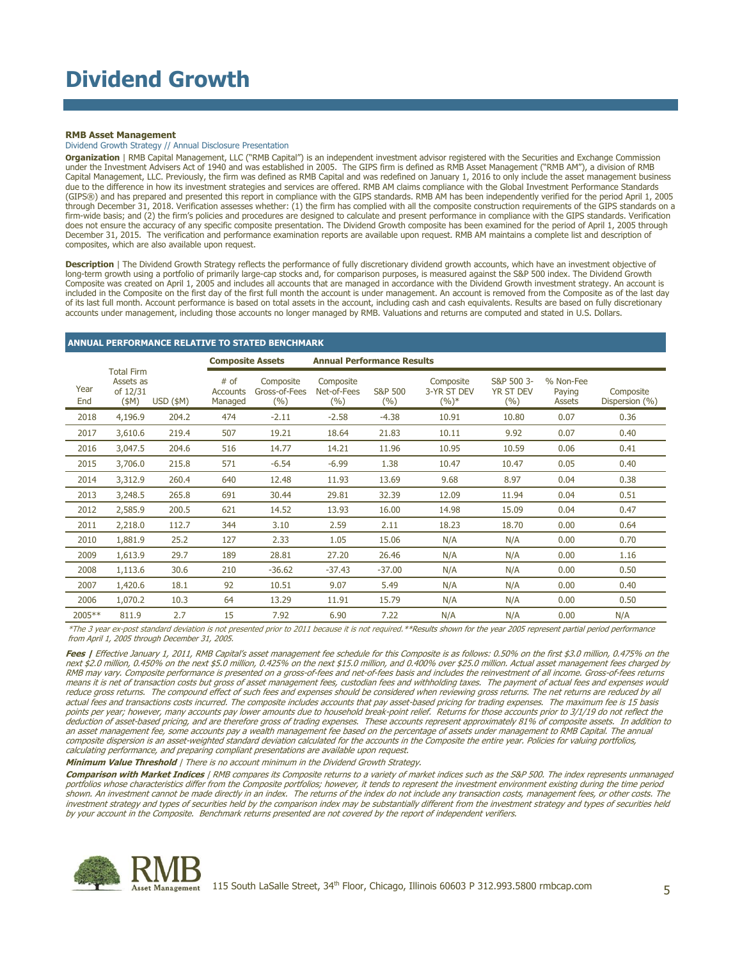#### **RMB Asset Management**

Dividend Growth Strategy // Annual Disclosure Presentation

**Organization** | RMB Capital Management, LLC ("RMB Capital") is an independent investment advisor registered with the Securities and Exchange Commission under the Investment Advisers Act of 1940 and was established in 2005. The GIPS firm is defined as RMB Asset Management ("RMB AM"), a division of RMB<br>Capital Management, LLC. Previously, the firm was defined as RMB Capita (GIPS®) and has prepared and presented this report in compliance with the GIPS standards. RMB AM has been independently verified for the period April 1, 2005 through December 31, 2018. Verification assesses whether: (1) the firm has complied with all the composite construction requirements of the GIPS standards on a firm-wide basis; and (2) the firm's policies and procedures are designed to calculate and present performance in compliance with the GIPS standards. Verification does not ensure the accuracy of any specific composite presentation. The Dividend Growth composite has been examined for the period of April 1, 2005 through December 31, 2015. The verification and performance examination reports are available upon request. RMB AM maintains a complete list and description of composites, which are also available upon request.

**Description** | The Dividend Growth Strategy reflects the performance of fully discretionary dividend growth accounts, which have an investment objective of long-term growth using a portfolio of primarily large-cap stocks and, for comparison purposes, is measured against the S&P 500 index. The Dividend Growth Composite was created on April 1, 2005 and includes all accounts that are managed in accordance with the Dividend Growth investment strategy. An account is included in the Composite on the first day of the first full month the account is under management. An account is removed from the Composite as of the last day of its last full month. Account performance is based on total assets in the account, including cash and cash equivalents. Results are based on fully discretionary accounts under management, including those accounts no longer managed by RMB. Valuations and returns are computed and stated in U.S. Dollars.

#### **ANNUAL PERFORMANCE RELATIVE TO STATED BENCHMARK**

|             |                                                       |             | <b>Composite Assets</b>     |                                   | <b>Annual Performance Results</b> |                           |                                     |                                       |                               |                             |
|-------------|-------------------------------------------------------|-------------|-----------------------------|-----------------------------------|-----------------------------------|---------------------------|-------------------------------------|---------------------------------------|-------------------------------|-----------------------------|
| Year<br>End | <b>Total Firm</b><br>Assets as<br>of 12/31<br>$(\$M)$ | $USD$ (\$M) | # of<br>Accounts<br>Managed | Composite<br>Gross-of-Fees<br>(%) | Composite<br>Net-of-Fees<br>(%)   | <b>S&amp;P 500</b><br>(%) | Composite<br>3-YR ST DEV<br>$(%)^*$ | S&P 500 3-<br><b>YR ST DEV</b><br>(%) | % Non-Fee<br>Paying<br>Assets | Composite<br>Dispersion (%) |
| 2018        | 4,196.9                                               | 204.2       | 474                         | $-2.11$                           | $-2.58$                           | $-4.38$                   | 10.91                               | 10.80                                 | 0.07                          | 0.36                        |
| 2017        | 3,610.6                                               | 219.4       | 507                         | 19.21                             | 18.64                             | 21.83                     | 10.11                               | 9.92                                  | 0.07                          | 0.40                        |
| 2016        | 3,047.5                                               | 204.6       | 516                         | 14.77                             | 14.21                             | 11.96                     | 10.95                               | 10.59                                 | 0.06                          | 0.41                        |
| 2015        | 3,706.0                                               | 215.8       | 571                         | $-6.54$                           | $-6.99$                           | 1.38                      | 10.47                               | 10.47                                 | 0.05                          | 0.40                        |
| 2014        | 3,312.9                                               | 260.4       | 640                         | 12.48                             | 11.93                             | 13.69                     | 9.68                                | 8.97                                  | 0.04                          | 0.38                        |
| 2013        | 3,248.5                                               | 265.8       | 691                         | 30.44                             | 29.81                             | 32.39                     | 12.09                               | 11.94                                 | 0.04                          | 0.51                        |
| 2012        | 2,585.9                                               | 200.5       | 621                         | 14.52                             | 13.93                             | 16.00                     | 14.98                               | 15.09                                 | 0.04                          | 0.47                        |
| 2011        | 2,218.0                                               | 112.7       | 344                         | 3.10                              | 2.59                              | 2.11                      | 18.23                               | 18.70                                 | 0.00                          | 0.64                        |
| 2010        | 1,881.9                                               | 25.2        | 127                         | 2.33                              | 1.05                              | 15.06                     | N/A                                 | N/A                                   | 0.00                          | 0.70                        |
| 2009        | 1,613.9                                               | 29.7        | 189                         | 28.81                             | 27.20                             | 26.46                     | N/A                                 | N/A                                   | 0.00                          | 1.16                        |
| 2008        | 1,113.6                                               | 30.6        | 210                         | $-36.62$                          | $-37.43$                          | $-37.00$                  | N/A                                 | N/A                                   | 0.00                          | 0.50                        |
| 2007        | 1,420.6                                               | 18.1        | 92                          | 10.51                             | 9.07                              | 5.49                      | N/A                                 | N/A                                   | 0.00                          | 0.40                        |
| 2006        | 1,070.2                                               | 10.3        | 64                          | 13.29                             | 11.91                             | 15.79                     | N/A                                 | N/A                                   | 0.00                          | 0.50                        |
| 2005**      | 811.9                                                 | 2.7         | 15                          | 7.92                              | 6.90                              | 7.22                      | N/A                                 | N/A                                   | 0.00                          | N/A                         |

\*The 3 year ex-post standard deviation is not presented prior to 2011 because it is not required.\*\*Results shown for the year 2005 represent partial period performance from April 1, 2005 through December 31, 2005.

Fees | Effective January 1, 2011, RMB Capital's asset management fee schedule for this Composite is as follows: 0.50% on the first \$3.0 million, 0.475% on the next \$2.0 million, 0.450% on the next \$5.0 million, 0.425% on the next \$15.0 million, and 0.400% over \$25.0 million. Actual asset management fees charged by RMB may vary. Composite performance is presented on a gross-of-fees and net-of-fees basis and includes the reinvestment of all income. Gross-of-fees returns means it is net of transaction costs but gross of asset management fees, custodian fees and withholding taxes. The payment of actual fees and expenses would reduce gross returns. The compound effect of such fees and expenses should be considered when reviewing gross returns. The net returns are reduced by all actual fees and transactions costs incurred. The composite includes accounts that pay asset-based pricing for trading expenses. The maximum fee is 15 basis points per year; however, many accounts pay lower amounts due to household break-point relief. Returns for those accounts prior to 3/1/19 do not reflect the deduction of asset-based pricing, and are therefore gross of trading expenses. These accounts represent approximately 81% of composite assets. In addition to an asset management fee, some accounts pay a wealth management fee based on the percentage of assets under management to RMB Capital. The annual composite dispersion is an asset-weighted standard deviation calculated for the accounts in the Composite the entire year. Policies for valuing portfolios, calculating performance, and preparing compliant presentations are available upon request.

**Minimum Value Threshold** | There is no account minimum in the Dividend Growth Strategy.

**Comparison with Market Indices** | RMB compares its Composite returns to a variety of market indices such as the S&P 500. The index represents unmanaged<br>portfolios whose characteristics differ from the Composite portfolios shown. An investment cannot be made directly in an index. The returns of the index do not include any transaction costs, management fees, or other costs. The investment strategy and types of securities held by the comparison index may be substantially different from the investment strategy and types of securities held by your account in the Composite. Benchmark returns presented are not covered by the report of independent verifiers.